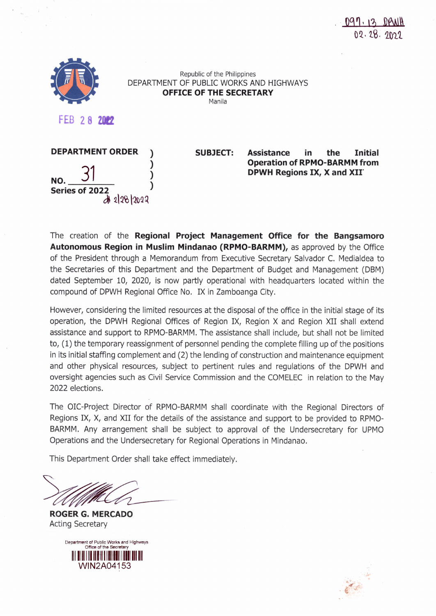

Republic of the Philippines DEPARTMENT OF PUBLIC WORKS AND HIGHWAYS **OFFICE OF THE SECRETARY** Manila

**FEB 28 2112**



**SUBJECT: Assistance in the Initial Operation of RPMO-BARMM from DPWH Regions IX, X and** XII'

The creation of the **Regional Project Management Office for the Bangsamoro Autonomous Region in Muslim Mindanao (RPMO-BARMM),** as approved by the Office of the President through a Memorandum from Executive Secretary Salvador C. Medialdea to the Secretaries of this Department and the Department of Budget and Management (DBM) dated September 10, 2020, is now partly operational with headquarters located within the compound of DPWH Regional Office No. IX in Zamboanga City.

However, considering the limited resources at the disposal of the office in the initial stage of its operation, the DPWH Regional Offices of Region IX, Region X and Region XII shall extend assistance and support to RPMO-BARMM. The assistance shall include, but shall not be limited to, (1) the temporary reassignment of personnel pending the complete filling up of the positions in its initial staffing complement and (2) the lending of construction and maintenance equipment and other physical resources, subject to pertinent rules and regulations of the DPWH and oversight agencies such as Civil Service Commission and the COMELEC in relation to the May 2022 elections.

The OIC-Project Director of RPMO-BARMM shall coordinate with the Regional Directors of Regions IX, X, and XII for the details of the assistance and support to be provided to RPMO-BARMM. Any arrangement shall be subject to approval of the Undersecretary for UPMO Operations and the Undersecretary for Regional Operations in Mindanao.

This Department Order shall take effect immediately.

**ROGER G. MERCADO** Acting Secretary



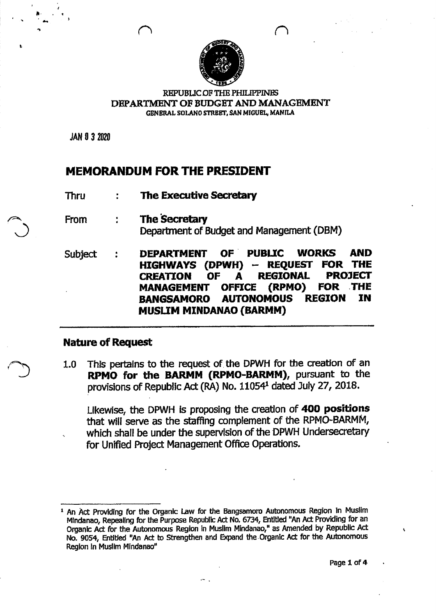

#### REPUBUCOF THE PHlLIPPINES DEPARTMENT OF BUDGET AND MANAGEMENT GENERAL SOLANO STREET, SAN MIGUEL, MANILA

JAN 0 3 2020

 $\lambda$  . -

### **MEMORANDUM FOR THE PRESIDENT**

- Thru **The Executive Secretary**
- **The Secretary** From  $\frac{1}{4}$ Department of Budget and Management (DBM)
- Subject **DEPARTMENT OF' PUBUC WORKS AND HIGHWAYS (DPWH) - REQUEST FOR THE CREATION OF A REGIONAL PROJECT MANAGEMENT OFFICE (RPMO) FOR** .THE **BANGSAMORO AUTONOMOUS REGION IN MUSUM MINDANAO (BARMM)**

## **Nature of Request**

1.0 This pertains to the request of the DPWH for the creation of an **RPMO for the BARMM (RPMO-SARMM),** pursuant to the provisions of Republic Act (RA) No. 11054<sup>1</sup> dated July 27, 2018.

Likewise, the DPWH is proposing the creation of 400 positions that will serve as the staffing complement of the RPMO-BARMM, which shall be under the supervision of the OPWH Undersecretary for Unified Project Management Office Operations.

<sup>1</sup> An Act Providing for the Organic Law for the Bangsamoro Autonomous Region In Muslim Mindanao, Repealing for the Purpose Republic Act No. 6734, Entitled "An Act Providing for an Organic Act for the Autonomous Region in Muslim Mindanao," as Amended by Republic Act No. 9054, Entitled "An Act to Strengthen and Expand the. Organic Act for the Autonomous Region In Muslim Mindanao"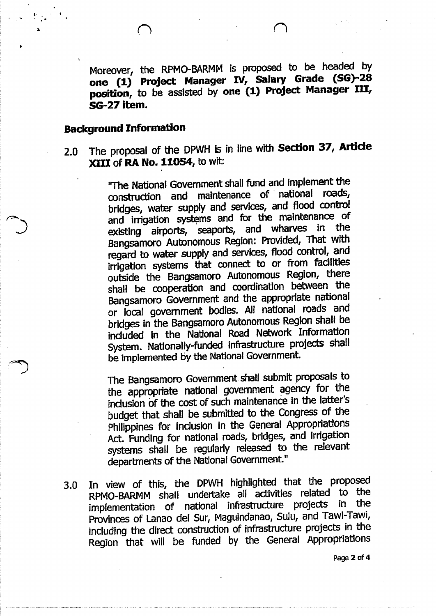Moreover, the RPMO-BARMM is proposed to be headed by one (1) Project Manager IV, Salary Grade (SG)-28 position, to be assisted by one (1) Project Manager III, SG-27 item.

### Background Information

 $\frac{1}{2}$  $\frac{1}{2}$ .

> 2.0 The proposal of the DPWH is in line with Section 37, Article XIII of RA No. 11054, to wit:

> > ''The National Government shall fund and implement the construction and maintenance of' national roads, bridges, water supply and services, and flood control and irrigation systems and for the maintenance of existing airports, seaports, and wharves in the Bangsamoro Autonomous Region: Provided, That with regard to water supply and services, flood control, and irrigation systems that connect to or from facilities outside the Bangsamoro Autonomous Region, there shall be cooperation and coordination between the Bangsamoro Government and the appropriate national or local government bodies. All national roads and bridges in the Bangsamoro Autonomous Region shall be Included In the National Road Network Information System. Nationally-funded infrastructure projects shall be implemented by the National Govemment.

> > The Bangsamoro Government shall submit proposals to the appropriate national government agency for the inclusion of the cost of such maintenance in the latter's budget that shall be submitted to the Congress of the Philippines for inclusion In the General Appropriations Act. Funding for national roads, bridges, and irrigation systems shall be regularly released to the relevant departments of the National Government."

3.0 In view of this, the DPWH highlighted that the proposed RPMO-BARMM shall undertake all activities related to the implementation of national infrastructure projects In the Provinces of Lanao del Sur, Maguindanao, Sulu, and Tawl-Tawi, including the direct construction of infrastructure projects in the Region that will be funded by the General Appropriations

Page 2 of 4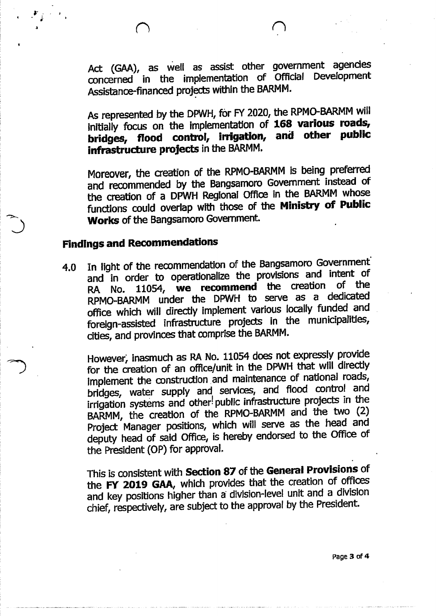$\mathcal{F}_{\hat{p}}$ 

 $\frac{1}{2}$ .  $\frac{1}{2}$ .'

Act (GAA), as well as assist other government agendes concerned in the implementation of Official Development Assistance-financed projects within the BARMM.

As represented by the DPWH, for FY 2020, the RPMO-BARMM will initially focus on the implementation of 168 various roads, bridges, flood control, irrigation, and other public infrastructure projects in the BARMM.

Moreover, the creation of the RPMO-BARMM is being preferred and recommended by the Bangsamoro Government instead of the creation of a DPWH RegIonal Office in the BARMM whose functions could overlap with those of the Ministry of Public Works of the Bangsamoro Government.

## Findings and Recommendations

4.0 In light of the recommendation of the Bangsamoro Government' and in order to operationalize the provisions and intent of RA No. 11054, we recommend the creation RPMO..BARMM under the DPWH to serve as a dedicated office which will directly implement various locally funded and foreign-assisted infrastructure projects in the municipalities, cities, and provinces that comprise the BARMM.

However, inasmuch as RA No. 11054 does not expressly provide for the creation of an office/unit in the DPWH that will directly implement the construction, and maintenance of national roads, bridges, water supply and services, and flood control and irrigation systems and other! public infrastructure projects in the BARMM, the creation of the RPMO-BARMM and the two (2) Project Manager positions, which will serve as the head and deputy head of said Office, is hereby endorsed to the Office of the President (OP) for approval.

This is consistent with Section 87 of the General Provisions of the FY 2019 GAA, which provides that the creation of offices and key positions higher than a' division-level unit and a division chief, respectively, are subject to the approval by the President.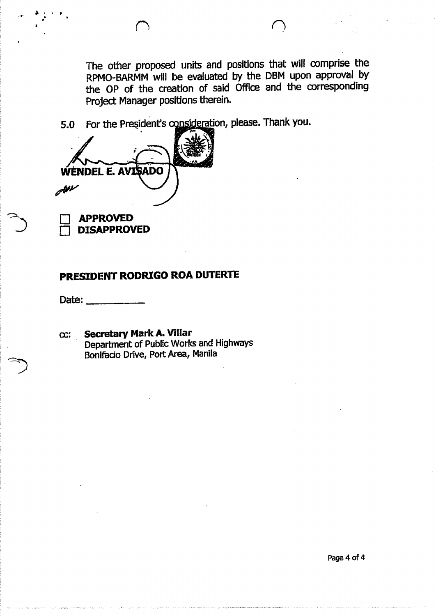5.0 For the President's

VENDEL E. AVISADO ملائكاته **APPROVED** 

PRESIDENT RODRIGO ROA DUTERTE

Date:

**DISAPPROVED** 

.<br>. بار المراجع المراجع المراجع المراجع المراجع المراجع المراجع المراجع المراجع المراجع المراجع المراجع المراجع<br>المراجع المراجع المراجع المراجع المراجع المراجع المراجع المراجع المراجع المراجع المراجع المراجع المراجع المرا •

> cc: Secretary MarkA.Villar Department of Public Works and Highways Bonifacio Drive, Port Area, Manila